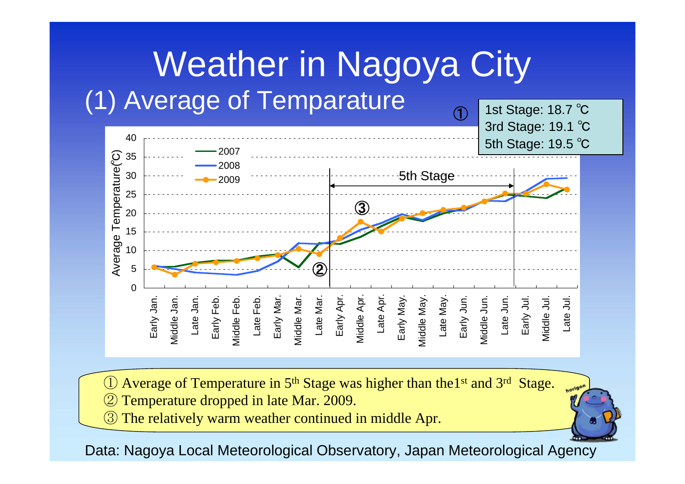## Weather in Nagoya City (1) Average of Temparature 1st Stage: 18.7 ℃  $\bigoplus$



Average of Temperature in 5<sup>th</sup> Stage was higher than the1<sup>st</sup> and 3<sup>rd</sup> Stage. ② Temperature dropped in late Mar. 2009.

③ The relatively warm weather continued in middle Apr.

Data: Nagoya Local Meteorological Observatory, Japan Meteorological Agency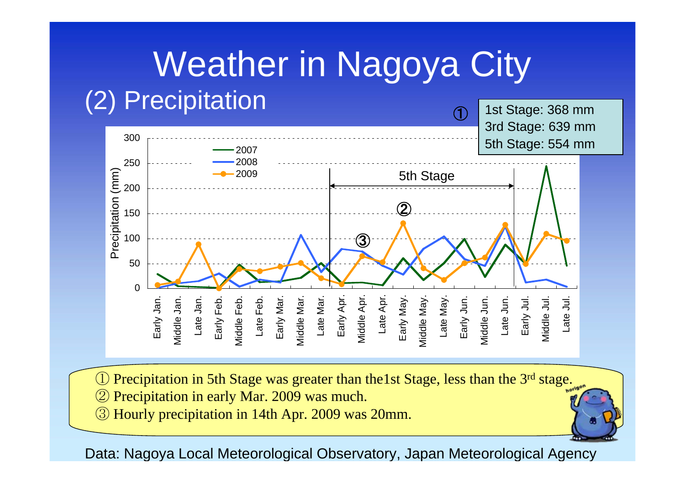## Weather in Nagoya City (2) Precipitation 1st Stage: 368 mm  $\bigoplus$



Precipitation in 5th Stage was greater than the1st Stage, less than the 3<sup>rd</sup> stage.

- ② Precipitation in early Mar. 2009 was much.
- ③ Hourly precipitation in 14th Apr. 2009 was 20mm.

## Data: Nagoya Local Meteorological Observatory, Japan Meteorological Agency